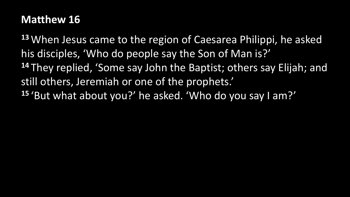## **Matthew 16**

**<sup>13</sup>** When Jesus came to the region of Caesarea Philippi, he asked his disciples, 'Who do people say the Son of Man is?' **<sup>14</sup>** They replied, 'Some say John the Baptist; others say Elijah; and still others, Jeremiah or one of the prophets.' **<sup>15</sup>** 'But what about you?' he asked. 'Who do you say I am?'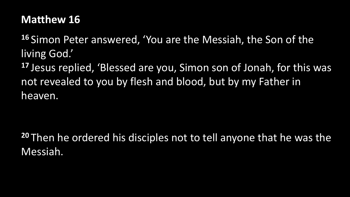## **Matthew 16**

**<sup>16</sup>** Simon Peter answered, 'You are the Messiah, the Son of the living God.'

**<sup>17</sup>** Jesus replied, 'Blessed are you, Simon son of Jonah, for this was not revealed to you by flesh and blood, but by my Father in heaven.

**<sup>20</sup>** Then he ordered his disciples not to tell anyone that he was the Messiah.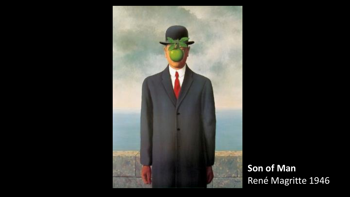

**Son of Man** René Magritte 1946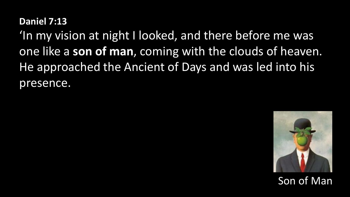#### **Daniel 7:13**

'In my vision at night I looked, and there before me was one like a **son of man**, coming with the clouds of heaven. He approached the Ancient of Days and was led into his presence.

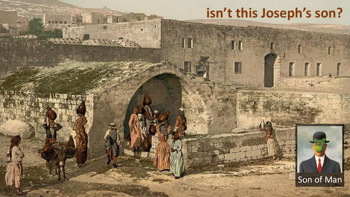# **isn't this Joseph's son?**

escal.



 $\mathbf{L}$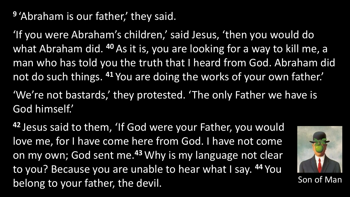<sup>9</sup> 'Abraham is our father,' they said.

'If you were Abraham's children,' said Jesus, 'then you would do what Abraham did. **<sup>40</sup>** As it is, you are looking for a way to kill me, a man who has told you the truth that I heard from God. Abraham did not do such things. **<sup>41</sup>** You are doing the works of your own father.' 'We're not bastards,' they protested. 'The only Father we have is

God himself.'

**<sup>42</sup>** Jesus said to them, 'If God were your Father, you would love me, for I have come here from God. I have not come on my own; God sent me.**<sup>43</sup>** Why is my language not clear to you? Because you are unable to hear what I say. **<sup>44</sup>** You belong to your father, the devil.

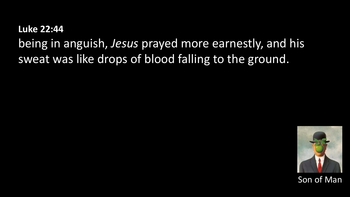**Luke 22:44** being in anguish, *Jesus* prayed more earnestly, and his sweat was like drops of blood falling to the ground.

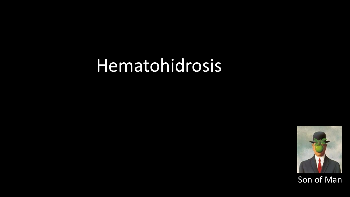# Hematohidrosis